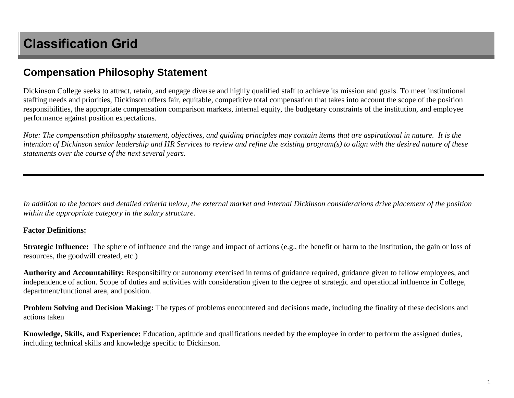## **Compensation Philosophy Statement**

Dickinson College seeks to attract, retain, and engage diverse and highly qualified staff to achieve its mission and goals. To meet institutional staffing needs and priorities, Dickinson offers fair, equitable, competitive total compensation that takes into account the scope of the position responsibilities, the appropriate compensation comparison markets, internal equity, the budgetary constraints of the institution, and employee performance against position expectations.

*Note: The compensation philosophy statement, objectives, and guiding principles may contain items that are aspirational in nature. It is the intention of Dickinson senior leadership and HR Services to review and refine the existing program(s) to align with the desired nature of these statements over the course of the next several years.* 

*In addition to the factors and detailed criteria below, the external market and internal Dickinson considerations drive placement of the position within the appropriate category in the salary structure.*

## **Factor Definitions:**

**Strategic Influence:** The sphere of influence and the range and impact of actions (e.g., the benefit or harm to the institution, the gain or loss of resources, the goodwill created, etc.)

**Authority and Accountability:** Responsibility or autonomy exercised in terms of guidance required, guidance given to fellow employees, and independence of action. Scope of duties and activities with consideration given to the degree of strategic and operational influence in College, department/functional area, and position.

**Problem Solving and Decision Making:** The types of problems encountered and decisions made, including the finality of these decisions and actions taken

**Knowledge, Skills, and Experience:** Education, aptitude and qualifications needed by the employee in order to perform the assigned duties, including technical skills and knowledge specific to Dickinson.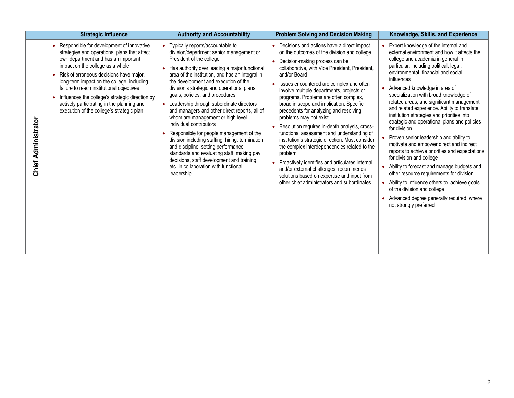|                            | <b>Strategic Influence</b>                                                                                                                                                                                                                                                                                                                                                                                                                                     | <b>Authority and Accountability</b>                                                                                                                                                                                                                                                                                                                                                                                                                                                                                                                                                                                                                                                                                                                                                           | <b>Problem Solving and Decision Making</b>                                                                                                                                                                                                                                                                                                                                                                                                                                                                                                                                                                                                                                                                                                                                                                                                                  | Knowledge, Skills, and Experience                                                                                                                                                                                                                                                                                                                                                                                                                                                                                                                                                                                                                                                                                                                                                                                                                                                                                                    |
|----------------------------|----------------------------------------------------------------------------------------------------------------------------------------------------------------------------------------------------------------------------------------------------------------------------------------------------------------------------------------------------------------------------------------------------------------------------------------------------------------|-----------------------------------------------------------------------------------------------------------------------------------------------------------------------------------------------------------------------------------------------------------------------------------------------------------------------------------------------------------------------------------------------------------------------------------------------------------------------------------------------------------------------------------------------------------------------------------------------------------------------------------------------------------------------------------------------------------------------------------------------------------------------------------------------|-------------------------------------------------------------------------------------------------------------------------------------------------------------------------------------------------------------------------------------------------------------------------------------------------------------------------------------------------------------------------------------------------------------------------------------------------------------------------------------------------------------------------------------------------------------------------------------------------------------------------------------------------------------------------------------------------------------------------------------------------------------------------------------------------------------------------------------------------------------|--------------------------------------------------------------------------------------------------------------------------------------------------------------------------------------------------------------------------------------------------------------------------------------------------------------------------------------------------------------------------------------------------------------------------------------------------------------------------------------------------------------------------------------------------------------------------------------------------------------------------------------------------------------------------------------------------------------------------------------------------------------------------------------------------------------------------------------------------------------------------------------------------------------------------------------|
| <b>Chief Administrator</b> | • Responsible for development of innovative<br>strategies and operational plans that affect<br>own department and has an important<br>impact on the college as a whole<br>• Risk of erroneous decisions have major,<br>long-term impact on the college, including<br>failure to reach institutional objectives<br>• Influences the college's strategic direction by<br>actively participating in the planning and<br>execution of the college's strategic plan | Typically reports/accountable to<br>division/department senior management or<br>President of the college<br>Has authority over leading a major functional<br>area of the institution, and has an integral in<br>the development and execution of the<br>division's strategic and operational plans,<br>goals, policies, and procedures<br>Leadership through subordinate directors<br>and managers and other direct reports, all of<br>whom are management or high level<br>individual contributors<br>Responsible for people management of the<br>division including staffing, hiring, termination<br>and discipline, setting performance<br>standards and evaluating staff, making pay<br>decisions, staff development and training,<br>etc. in collaboration with functional<br>leadership | • Decisions and actions have a direct impact<br>on the outcomes of the division and college.<br>Decision-making process can be<br>collaborative, with Vice President, President,<br>and/or Board<br>Issues encountered are complex and often<br>involve multiple departments, projects or<br>programs. Problems are often complex,<br>broad in scope and implication. Specific<br>precedents for analyzing and resolving<br>problems may not exist<br>Resolution requires in-depth analysis, cross-<br>functional assessment and understanding of<br>institution's strategic direction. Must consider<br>the complex interdependencies related to the<br>problem<br>Proactively identifies and articulates internal<br>and/or external challenges; recommends<br>solutions based on expertise and input from<br>other chief administrators and subordinates | Expert knowledge of the internal and<br>external environment and how it affects the<br>college and academia in general in<br>particular, including political, legal,<br>environmental, financial and social<br>influences<br>Advanced knowledge in area of<br>specialization with broad knowledge of<br>related areas, and significant management<br>and related experience. Ability to translate<br>institution strategies and priorities into<br>strategic and operational plans and policies<br>for division<br>Proven senior leadership and ability to<br>motivate and empower direct and indirect<br>reports to achieve priorities and expectations<br>for division and college<br>Ability to forecast and manage budgets and<br>other resource requirements for division<br>Ability to influence others to achieve goals<br>of the division and college<br>Advanced degree generally required; where<br>not strongly preferred |

Г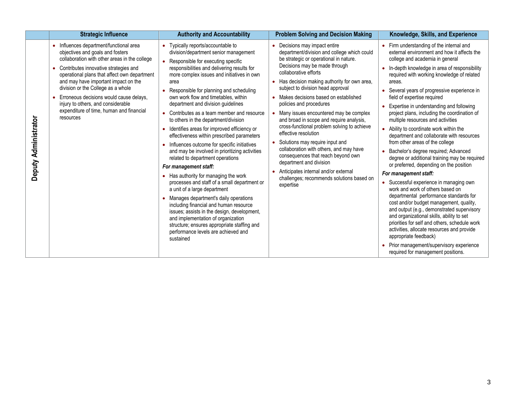|                      | <b>Strategic Influence</b>                                                                                                                                                                                                                                                                                                                                                                                                                    | <b>Authority and Accountability</b>                                                                                                                                                                                                                                                                                                                                                                                                                                                                                                                                                                                                                                                                                                                                                                                                                                                                                                                                                                                                                                                                                    | <b>Problem Solving and Decision Making</b>                                                                                                                                                                                                                                                                                                                                                                                                                                                                                                                                                                                                                                                                                                            | Knowledge, Skills, and Experience                                                                                                                                                                                                                                                                                                                                                                                                                                                                                                                                                                                                                                                                                                                                                                                                                                                                                                                                                                                                                                                                                                                                                                            |
|----------------------|-----------------------------------------------------------------------------------------------------------------------------------------------------------------------------------------------------------------------------------------------------------------------------------------------------------------------------------------------------------------------------------------------------------------------------------------------|------------------------------------------------------------------------------------------------------------------------------------------------------------------------------------------------------------------------------------------------------------------------------------------------------------------------------------------------------------------------------------------------------------------------------------------------------------------------------------------------------------------------------------------------------------------------------------------------------------------------------------------------------------------------------------------------------------------------------------------------------------------------------------------------------------------------------------------------------------------------------------------------------------------------------------------------------------------------------------------------------------------------------------------------------------------------------------------------------------------------|-------------------------------------------------------------------------------------------------------------------------------------------------------------------------------------------------------------------------------------------------------------------------------------------------------------------------------------------------------------------------------------------------------------------------------------------------------------------------------------------------------------------------------------------------------------------------------------------------------------------------------------------------------------------------------------------------------------------------------------------------------|--------------------------------------------------------------------------------------------------------------------------------------------------------------------------------------------------------------------------------------------------------------------------------------------------------------------------------------------------------------------------------------------------------------------------------------------------------------------------------------------------------------------------------------------------------------------------------------------------------------------------------------------------------------------------------------------------------------------------------------------------------------------------------------------------------------------------------------------------------------------------------------------------------------------------------------------------------------------------------------------------------------------------------------------------------------------------------------------------------------------------------------------------------------------------------------------------------------|
| Deputy Administrator | • Influences department/functional area<br>objectives and goals and fosters<br>collaboration with other areas in the college<br>Contributes innovative strategies and<br>operational plans that affect own department<br>and may have important impact on the<br>division or the College as a whole<br>Erroneous decisions would cause delays,<br>injury to others, and considerable<br>expenditure of time, human and financial<br>resources | Typically reports/accountable to<br>division/department senior management<br>• Responsible for executing specific<br>responsibilities and delivering results for<br>more complex issues and initiatives in own<br>area<br>Responsible for planning and scheduling<br>own work flow and timetables, within<br>department and division guidelines<br>• Contributes as a team member and resource<br>to others in the department/division<br>• Identifies areas for improved efficiency or<br>effectiveness within prescribed parameters<br>Influences outcome for specific initiatives<br>$\bullet$<br>and may be involved in prioritizing activities<br>related to department operations<br>For management staff:<br>• Has authority for managing the work<br>processes and staff of a small department or<br>a unit of a large department<br>• Manages department's daily operations<br>including financial and human resource<br>issues; assists in the design, development,<br>and implementation of organization<br>structure; ensures appropriate staffing and<br>performance levels are achieved and<br>sustained | Decisions may impact entire<br>department/division and college which could<br>be strategic or operational in nature.<br>Decisions may be made through<br>collaborative efforts<br>• Has decision making authority for own area,<br>subject to division head approval<br>Makes decisions based on established<br>policies and procedures<br>Many issues encountered may be complex<br>and broad in scope and require analysis,<br>cross-functional problem solving to achieve<br>effective resolution<br>Solutions may require input and<br>collaboration with others, and may have<br>consequences that reach beyond own<br>department and division<br>Anticipates internal and/or external<br>challenges; recommends solutions based on<br>expertise | Firm understanding of the internal and<br>external environment and how it affects the<br>college and academia in general<br>In-depth knowledge in area of responsibility<br>required with working knowledge of related<br>areas.<br>Several years of progressive experience in<br>field of expertise required<br>Expertise in understanding and following<br>project plans, including the coordination of<br>multiple resources and activities<br>• Ability to coordinate work within the<br>department and collaborate with resources<br>from other areas of the college<br>Bachelor's degree required; Advanced<br>degree or additional training may be required<br>or preferred, depending on the position<br>For management staff:<br>Successful experience in managing own<br>work and work of others based on<br>departmental performance standards for<br>cost and/or budget management, quality,<br>and output (e.g., demonstrated supervisory<br>and organizational skills, ability to set<br>priorities for self and others, schedule work<br>activities, allocate resources and provide<br>appropriate feedback)<br>Prior management/supervisory experience<br>required for management positions. |

Γ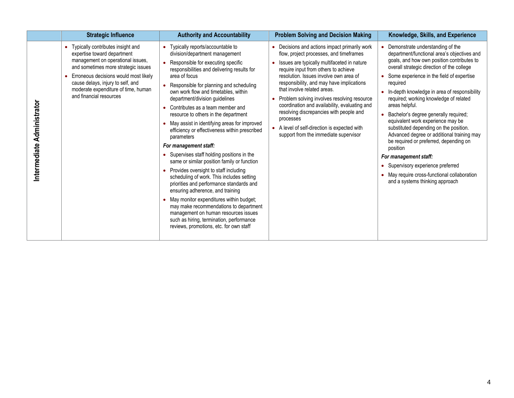|                            | <b>Strategic Influence</b>                                                                                                                                                                                                                                                                     | <b>Authority and Accountability</b>                                                                                                                                                                                                                                                                                                                                                                                                                                                                                                                                                                                                                                                                                                                                                                                                                                                                                                                                                                                                       | <b>Problem Solving and Decision Making</b>                                                                                                                                                                                                                                                                                                                                                                                                                                                                                                         | Knowledge, Skills, and Experience                                                                                                                                                                                                                                                                                                                                                                                                                                                                                                                                                                                                                                                                                                       |
|----------------------------|------------------------------------------------------------------------------------------------------------------------------------------------------------------------------------------------------------------------------------------------------------------------------------------------|-------------------------------------------------------------------------------------------------------------------------------------------------------------------------------------------------------------------------------------------------------------------------------------------------------------------------------------------------------------------------------------------------------------------------------------------------------------------------------------------------------------------------------------------------------------------------------------------------------------------------------------------------------------------------------------------------------------------------------------------------------------------------------------------------------------------------------------------------------------------------------------------------------------------------------------------------------------------------------------------------------------------------------------------|----------------------------------------------------------------------------------------------------------------------------------------------------------------------------------------------------------------------------------------------------------------------------------------------------------------------------------------------------------------------------------------------------------------------------------------------------------------------------------------------------------------------------------------------------|-----------------------------------------------------------------------------------------------------------------------------------------------------------------------------------------------------------------------------------------------------------------------------------------------------------------------------------------------------------------------------------------------------------------------------------------------------------------------------------------------------------------------------------------------------------------------------------------------------------------------------------------------------------------------------------------------------------------------------------------|
| Intermediate Administrator | • Typically contributes insight and<br>expertise toward department<br>management on operational issues,<br>and sometimes more strategic issues<br>Erroneous decisions would most likely<br>cause delays, injury to self, and<br>moderate expenditure of time, human<br>and financial resources | Typically reports/accountable to<br>$\bullet$<br>division/department management<br>• Responsible for executing specific<br>responsibilities and delivering results for<br>area of focus<br>• Responsible for planning and scheduling<br>own work flow and timetables, within<br>department/division guidelines<br>Contributes as a team member and<br>resource to others in the department<br>• May assist in identifying areas for improved<br>efficiency or effectiveness within prescribed<br>parameters<br>For management staff:<br>Supervises staff holding positions in the<br>same or similar position family or function<br>Provides oversight to staff including<br>$\bullet$<br>scheduling of work. This includes setting<br>priorities and performance standards and<br>ensuring adherence, and training<br>• May monitor expenditures within budget;<br>may make recommendations to department<br>management on human resources issues<br>such as hiring, termination, performance<br>reviews, promotions, etc. for own staff | Decisions and actions impact primarily work<br>flow, project processes, and timeframes<br>Issues are typically multifaceted in nature<br>require input from others to achieve<br>resolution. Issues involve own area of<br>responsibility, and may have implications<br>that involve related areas.<br>Problem solving involves resolving resource<br>coordination and availability, evaluating and<br>resolving discrepancies with people and<br>processes<br>A level of self-direction is expected with<br>support from the immediate supervisor | Demonstrate understanding of the<br>department/functional area's objectives and<br>goals, and how own position contributes to<br>overall strategic direction of the college<br>Some experience in the field of expertise<br>required<br>In-depth knowledge in area of responsibility<br>$\bullet$<br>required; working knowledge of related<br>areas helpful.<br>Bachelor's degree generally required;<br>equivalent work experience may be<br>substituted depending on the position.<br>Advanced degree or additional training may<br>be required or preferred, depending on<br>position<br>For management staff:<br>Supervisory experience preferred<br>May require cross-functional collaboration<br>and a systems thinking approach |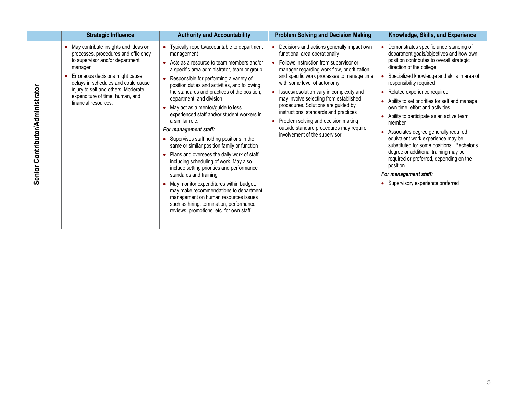|                                  | <b>Strategic Influence</b>                                                                                                                                                                                                                                                                               | <b>Authority and Accountability</b>                                                                                                                                                                                                                                                                                                                                                                                                                                                                                                                                                                                                                                                                                                                                                                                                                                                                                                             | <b>Problem Solving and Decision Making</b>                                                                                                                                                                                                                                                                                                                                                                                                                                                                                                       | Knowledge, Skills, and Experience                                                                                                                                                                                                                                                                                                                                                                                                                                                                                                                                                                                                                                                                              |
|----------------------------------|----------------------------------------------------------------------------------------------------------------------------------------------------------------------------------------------------------------------------------------------------------------------------------------------------------|-------------------------------------------------------------------------------------------------------------------------------------------------------------------------------------------------------------------------------------------------------------------------------------------------------------------------------------------------------------------------------------------------------------------------------------------------------------------------------------------------------------------------------------------------------------------------------------------------------------------------------------------------------------------------------------------------------------------------------------------------------------------------------------------------------------------------------------------------------------------------------------------------------------------------------------------------|--------------------------------------------------------------------------------------------------------------------------------------------------------------------------------------------------------------------------------------------------------------------------------------------------------------------------------------------------------------------------------------------------------------------------------------------------------------------------------------------------------------------------------------------------|----------------------------------------------------------------------------------------------------------------------------------------------------------------------------------------------------------------------------------------------------------------------------------------------------------------------------------------------------------------------------------------------------------------------------------------------------------------------------------------------------------------------------------------------------------------------------------------------------------------------------------------------------------------------------------------------------------------|
| Senior Contributor/Administrator | • May contribute insights and ideas on<br>processes, procedures and efficiency<br>to supervisor and/or department<br>manager<br>Erroneous decisions might cause<br>delays in schedules and could cause<br>injury to self and others. Moderate<br>expenditure of time, human, and<br>financial resources. | Typically reports/accountable to department<br>management<br>Acts as a resource to team members and/or<br>a specific area administrator, team or group<br>Responsible for performing a variety of<br>position duties and activities, and following<br>the standards and practices of the position,<br>department, and division<br>May act as a mentor/guide to less<br>experienced staff and/or student workers in<br>a similar role.<br>For management staff:<br>Supervises staff holding positions in the<br>same or similar position family or function<br>Plans and oversees the daily work of staff,<br>including scheduling of work. May also<br>include setting priorities and performance<br>standards and training<br>May monitor expenditures within budget;<br>may make recommendations to department<br>management on human resources issues<br>such as hiring, termination, performance<br>reviews, promotions, etc. for own staff | • Decisions and actions generally impact own<br>functional area operationally<br>• Follows instruction from supervisor or<br>manager regarding work flow, prioritization<br>and specific work processes to manage time<br>with some level of autonomy<br>• Issues/resolution vary in complexity and<br>may involve selecting from established<br>procedures. Solutions are guided by<br>instructions, standards and practices<br>Problem solving and decision making<br>outside standard procedures may require<br>involvement of the supervisor | • Demonstrates specific understanding of<br>department goals/objectives and how own<br>position contributes to overall strategic<br>direction of the college<br>Specialized knowledge and skills in area of<br>responsibility required<br>• Related experience required<br>• Ability to set priorities for self and manage<br>own time, effort and activities<br>Ability to participate as an active team<br>member<br>Associates degree generally required;<br>equivalent work experience may be<br>substituted for some positions. Bachelor's<br>degree or additional training may be<br>required or preferred, depending on the<br>position.<br>For management staff:<br>• Supervisory experience preferred |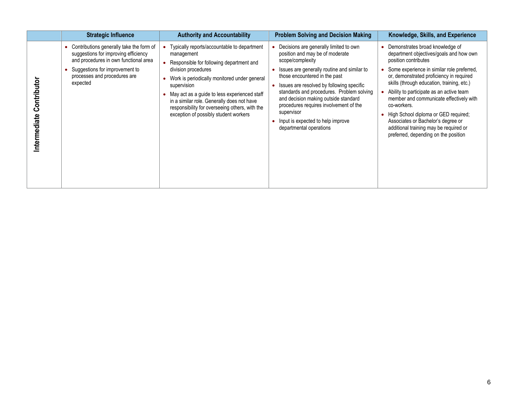|                            | <b>Strategic Influence</b>                                                                                                                                                                              | <b>Authority and Accountability</b>                                                                                                                                                                                                                                                                                                                                                  | <b>Problem Solving and Decision Making</b>                                                                                                                                                                                                                                                                                                                                                                                              | Knowledge, Skills, and Experience                                                                                                                                                                                                                                                                                                                                                                                                                                                                                  |
|----------------------------|---------------------------------------------------------------------------------------------------------------------------------------------------------------------------------------------------------|--------------------------------------------------------------------------------------------------------------------------------------------------------------------------------------------------------------------------------------------------------------------------------------------------------------------------------------------------------------------------------------|-----------------------------------------------------------------------------------------------------------------------------------------------------------------------------------------------------------------------------------------------------------------------------------------------------------------------------------------------------------------------------------------------------------------------------------------|--------------------------------------------------------------------------------------------------------------------------------------------------------------------------------------------------------------------------------------------------------------------------------------------------------------------------------------------------------------------------------------------------------------------------------------------------------------------------------------------------------------------|
| Contributo<br>Intermediate | Contributions generally take the form of<br>suggestions for improving efficiency<br>and procedures in own functional area<br>Suggestions for improvement to<br>processes and procedures are<br>expected | Typically reports/accountable to department<br>management<br>Responsible for following department and<br>division procedures<br>Work is periodically monitored under general<br>supervision<br>May act as a guide to less experienced staff<br>in a similar role. Generally does not have<br>responsibility for overseeing others, with the<br>exception of possibly student workers | Decisions are generally limited to own<br>position and may be of moderate<br>scope/complexity<br>Issues are generally routine and similar to<br>those encountered in the past<br>Issues are resolved by following specific<br>standards and procedures. Problem solving<br>and decision making outside standard<br>procedures requires involvement of the<br>supervisor<br>Input is expected to help improve<br>departmental operations | Demonstrates broad knowledge of<br>department objectives/goals and how own<br>position contributes<br>Some experience in similar role preferred,<br>or, demonstrated proficiency in required<br>skills (through education, training, etc.)<br>Ability to participate as an active team<br>member and communicate effectively with<br>co-workers.<br>• High School diploma or GED required;<br>Associates or Bachelor's degree or<br>additional training may be required or<br>preferred, depending on the position |